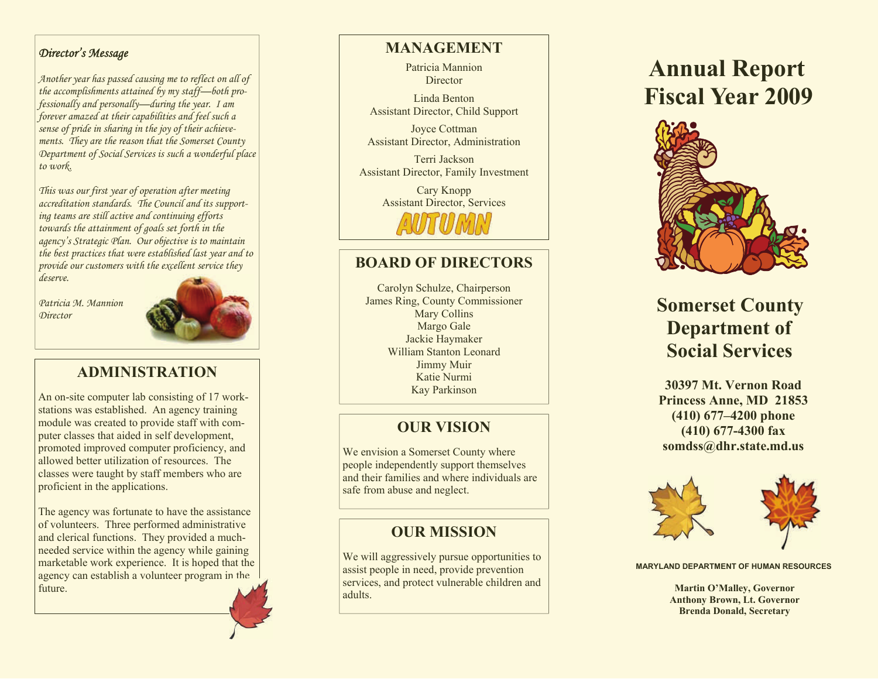#### *Director's Message*

*Another year has passed causing me to reflect on all of the accomplishments attained by my staff—both professionally and personally—during the year. I am forever amazed at their capabilities and feel such a sense of pride in sharing in the joy of their achievements. They are the reason that the Somerset County Department of Social Services is such a wonderful place to work.* 

*This was our first year of operation after meeting accreditation standards. The Council and its supporting teams are still active and continuing efforts towards the attainment of goals set forth in the agency's Strategic Plan. Our objective is to maintain the best practices that were established last year and to provide our customers with the excellent service they deserve.* 

*Patricia M. Mannion Director*



### **ADMINISTRATION**

An on-site computer lab consisting of 17 workstations was established. An agency training module was created to provide staff with computer classes that aided in self development, promoted improved computer proficiency, and allowed better utilization of resources. The classes were taught by staff members who are proficient in the applications.

The agency was fortunate to have the assistance of volunteers. Three performed administrative and clerical functions. They provided a muchneeded service within the agency while gaining marketable work experience. It is hoped that the agency can establish a volunteer program in the future.

### **MANAGEMENT**

Patricia Mannion **Director** 

Linda Benton Assistant Director, Child Support

Joyce Cottman Assistant Director, Administration

Terri Jackson Assistant Director, Family Investment

> Cary Knopp Assistant Director, Services

### **BOARD OF DIRECTORS**

Carolyn Schulze, Chairperson James Ring, County Commissioner Mary Collins Margo Gale Jackie Haymaker William Stanton Leonard Jimmy Muir Katie Nurmi Kay Parkinson

### **OUR VISION**

We envision a Somerset County where people independently support themselves and their families and where individuals are safe from abuse and neglect.

### **OUR MISSION**

We will aggressively pursue opportunities to assist people in need, provide prevention services, and protect vulnerable children and adults.

# **Annual Report Fiscal Year 2009**



## **Somerset County Department of Social Services**

**30397 Mt. Vernon Road Princess Anne, MD 21853 (410) 677–4200 phone (410) 677-4300 fax somdss@dhr.state.md.us** 



**MARYLAND DEPARTMENT OF HUMAN RESOURCES** 

 **Martin O'Malley, Governor Anthony Brown, Lt. Governor Brenda Donald, Secretary**